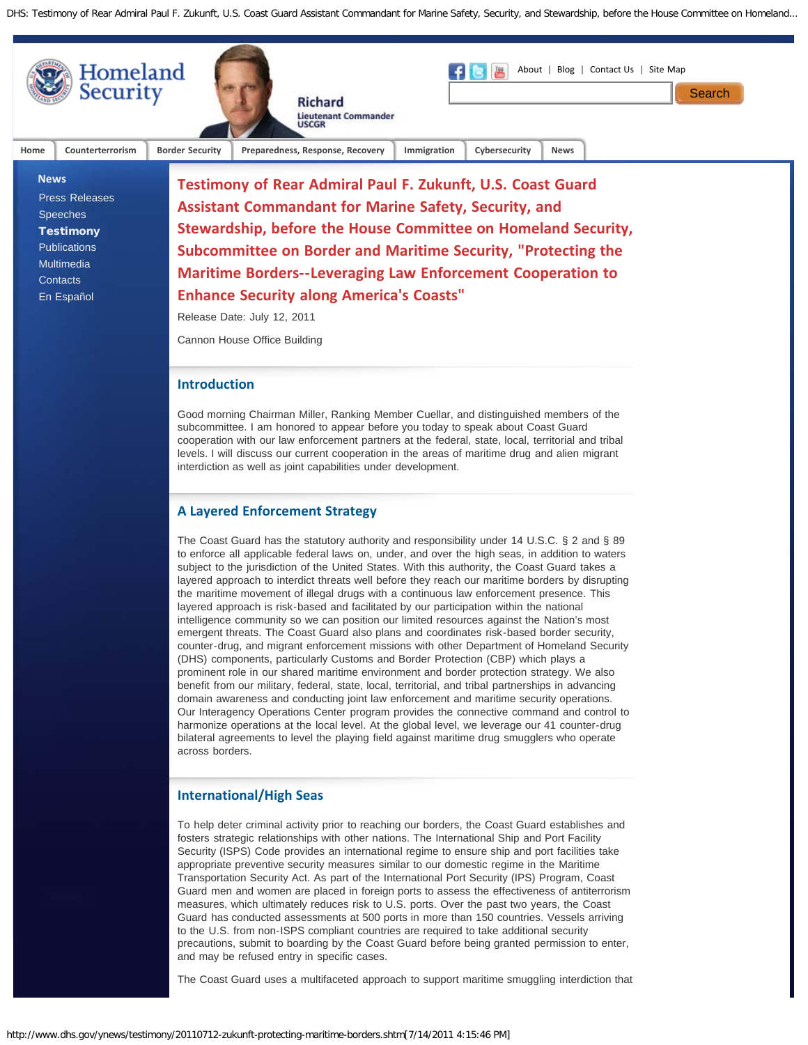

The Coast Guard uses a multifaceted approach to support maritime smuggling interdiction that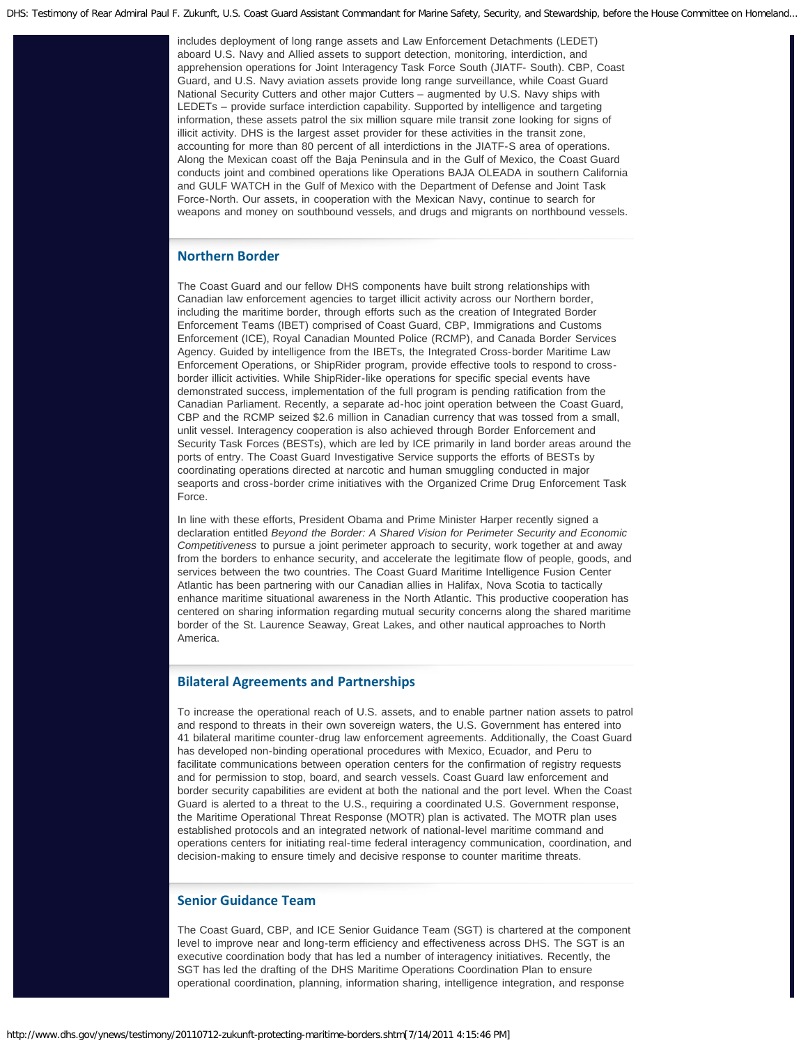DHS: Testimony of Rear Admiral Paul F. Zukunft, U.S. Coast Guard Assistant Commandant for Marine Safety, Security, and Stewardship, before the House Committee on Homeland...

includes deployment of long range assets and Law Enforcement Detachments (LEDET) aboard U.S. Navy and Allied assets to support detection, monitoring, interdiction, and apprehension operations for Joint Interagency Task Force South (JIATF- South). CBP, Coast Guard, and U.S. Navy aviation assets provide long range surveillance, while Coast Guard National Security Cutters and other major Cutters – augmented by U.S. Navy ships with LEDETs – provide surface interdiction capability. Supported by intelligence and targeting information, these assets patrol the six million square mile transit zone looking for signs of illicit activity. DHS is the largest asset provider for these activities in the transit zone, accounting for more than 80 percent of all interdictions in the JIATF-S area of operations. Along the Mexican coast off the Baja Peninsula and in the Gulf of Mexico, the Coast Guard conducts joint and combined operations like Operations BAJA OLEADA in southern California and GULF WATCH in the Gulf of Mexico with the Department of Defense and Joint Task Force-North. Our assets, in cooperation with the Mexican Navy, continue to search for weapons and money on southbound vessels, and drugs and migrants on northbound vessels.

## **Northern Border**

The Coast Guard and our fellow DHS components have built strong relationships with Canadian law enforcement agencies to target illicit activity across our Northern border, including the maritime border, through efforts such as the creation of Integrated Border Enforcement Teams (IBET) comprised of Coast Guard, CBP, Immigrations and Customs Enforcement (ICE), Royal Canadian Mounted Police (RCMP), and Canada Border Services Agency. Guided by intelligence from the IBETs, the Integrated Cross-border Maritime Law Enforcement Operations, or ShipRider program, provide effective tools to respond to crossborder illicit activities. While ShipRider-like operations for specific special events have demonstrated success, implementation of the full program is pending ratification from the Canadian Parliament. Recently, a separate ad-hoc joint operation between the Coast Guard, CBP and the RCMP seized \$2.6 million in Canadian currency that was tossed from a small, unlit vessel. Interagency cooperation is also achieved through Border Enforcement and Security Task Forces (BESTs), which are led by ICE primarily in land border areas around the ports of entry. The Coast Guard Investigative Service supports the efforts of BESTs by coordinating operations directed at narcotic and human smuggling conducted in major seaports and cross-border crime initiatives with the Organized Crime Drug Enforcement Task Force.

In line with these efforts, President Obama and Prime Minister Harper recently signed a declaration entitled *Beyond the Border: A Shared Vision for Perimeter Security and Economic Competitiveness* to pursue a joint perimeter approach to security, work together at and away from the borders to enhance security, and accelerate the legitimate flow of people, goods, and services between the two countries. The Coast Guard Maritime Intelligence Fusion Center Atlantic has been partnering with our Canadian allies in Halifax, Nova Scotia to tactically enhance maritime situational awareness in the North Atlantic. This productive cooperation has centered on sharing information regarding mutual security concerns along the shared maritime border of the St. Laurence Seaway, Great Lakes, and other nautical approaches to North America.

## **Bilateral Agreements and Partnerships**

To increase the operational reach of U.S. assets, and to enable partner nation assets to patrol and respond to threats in their own sovereign waters, the U.S. Government has entered into 41 bilateral maritime counter-drug law enforcement agreements. Additionally, the Coast Guard has developed non-binding operational procedures with Mexico, Ecuador, and Peru to facilitate communications between operation centers for the confirmation of registry requests and for permission to stop, board, and search vessels. Coast Guard law enforcement and border security capabilities are evident at both the national and the port level. When the Coast Guard is alerted to a threat to the U.S., requiring a coordinated U.S. Government response, the Maritime Operational Threat Response (MOTR) plan is activated. The MOTR plan uses established protocols and an integrated network of national-level maritime command and operations centers for initiating real-time federal interagency communication, coordination, and decision-making to ensure timely and decisive response to counter maritime threats.

## **Senior Guidance Team**

The Coast Guard, CBP, and ICE Senior Guidance Team (SGT) is chartered at the component level to improve near and long-term efficiency and effectiveness across DHS. The SGT is an executive coordination body that has led a number of interagency initiatives. Recently, the SGT has led the drafting of the DHS Maritime Operations Coordination Plan to ensure operational coordination, planning, information sharing, intelligence integration, and response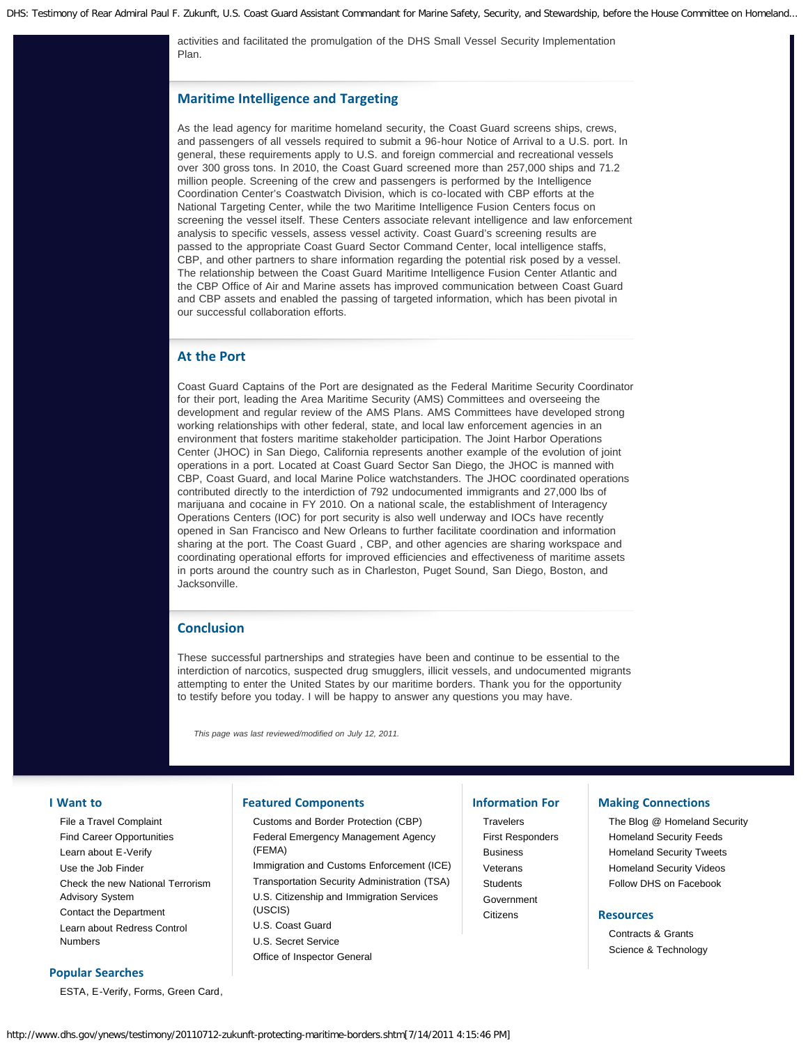activities and facilitated the promulgation of the DHS Small Vessel Security Implementation Plan.

## **Maritime Intelligence and Targeting**

As the lead agency for maritime homeland security, the Coast Guard screens ships, crews, and passengers of all vessels required to submit a 96-hour Notice of Arrival to a U.S. port. In general, these requirements apply to U.S. and foreign commercial and recreational vessels over 300 gross tons. In 2010, the Coast Guard screened more than 257,000 ships and 71.2 million people. Screening of the crew and passengers is performed by the Intelligence Coordination Center's Coastwatch Division, which is co-located with CBP efforts at the National Targeting Center, while the two Maritime Intelligence Fusion Centers focus on screening the vessel itself. These Centers associate relevant intelligence and law enforcement analysis to specific vessels, assess vessel activity. Coast Guard's screening results are passed to the appropriate Coast Guard Sector Command Center, local intelligence staffs, CBP, and other partners to share information regarding the potential risk posed by a vessel. The relationship between the Coast Guard Maritime Intelligence Fusion Center Atlantic and the CBP Office of Air and Marine assets has improved communication between Coast Guard and CBP assets and enabled the passing of targeted information, which has been pivotal in our successful collaboration efforts.

## **At the Port**

Coast Guard Captains of the Port are designated as the Federal Maritime Security Coordinator for their port, leading the Area Maritime Security (AMS) Committees and overseeing the development and regular review of the AMS Plans. AMS Committees have developed strong working relationships with other federal, state, and local law enforcement agencies in an environment that fosters maritime stakeholder participation. The Joint Harbor Operations Center (JHOC) in San Diego, California represents another example of the evolution of joint operations in a port. Located at Coast Guard Sector San Diego, the JHOC is manned with CBP, Coast Guard, and local Marine Police watchstanders. The JHOC coordinated operations contributed directly to the interdiction of 792 undocumented immigrants and 27,000 lbs of marijuana and cocaine in FY 2010. On a national scale, the establishment of Interagency Operations Centers (IOC) for port security is also well underway and IOCs have recently opened in San Francisco and New Orleans to further facilitate coordination and information sharing at the port. The Coast Guard , CBP, and other agencies are sharing workspace and coordinating operational efforts for improved efficiencies and effectiveness of maritime assets in ports around the country such as in Charleston, Puget Sound, San Diego, Boston, and Jacksonville.

### **Conclusion**

These successful partnerships and strategies have been and continue to be essential to the interdiction of narcotics, suspected drug smugglers, illicit vessels, and undocumented migrants attempting to enter the United States by our maritime borders. Thank you for the opportunity to testify before you today. I will be happy to answer any questions you may have.

*This page was last reviewed/modified on July 12, 2011.*

#### **I Want to**

[File a Travel Complaint](http://www.dhs.gov/files/programs/gc_1169673653081.shtm) [Find Career Opportunities](http://www.dhs.gov/xabout/careers/content_multi_image_0014.shtm) [Learn about E-Verify](http://www.dhs.gov/files/programs/gc_1185221678150.shtm) [Use the Job Finder](http://www.dhs.gov/xabout/careers/jobfinder.shtm) [Check the new National Terrorism](http://www.dhs.gov/files/programs/ntas.shtm) [Advisory System](http://www.dhs.gov/files/programs/ntas.shtm) [Contact the Department](http://www.dhs.gov/xutil/contactus.shtm) [Learn about Redress Control](http://www.dhs.gov/files/programs/gc_1257360592800.shtm) [Numbers](http://www.dhs.gov/files/programs/gc_1257360592800.shtm)

# **Popular Searches**

[ESTA,](https://esta.cbp.dhs.gov/) [E-Verify](http://www.uscis.gov/portal/site/uscis/menuitem.eb1d4c2a3e5b9ac89243c6a7543f6d1a/?vgnextoid=75bce2e261405110VgnVCM1000004718190aRCRD&vgnextchannel=75bce2e261405110VgnVCM1000004718190aRCRD), [Forms,](http://www.dhs.gov/xabout/gc_1186413412271.shtm) [Green Card,](http://www.uscis.gov/greencard)

## **Featured Components**

[Customs and Border Protection \(CBP\)](http://cbp.gov/) [Federal Emergency Management Agency](http://www.fema.gov/) [\(FEMA\)](http://www.fema.gov/) [Immigration and Customs Enforcement \(ICE\)](http://www.ice.gov/) [Transportation Security Administration \(TSA\)](http://www.tsa.gov/) [U.S. Citizenship and Immigration Services](http://www.uscis.gov/) [\(USCIS\)](http://www.uscis.gov/) [U.S. Coast Guard](http://uscg.mil/) [U.S. Secret Service](http://www.secretservice.gov/) [Office of Inspector General](http://www.dhs.gov/xoig/index.shtm)

### **Information For**

[Travelers](http://www.dhs.gov/files/travelers.shtm) [First Responders](http://www.dhs.gov/xfrstresp/) [Business](http://www.dhs.gov/xbsnss/) [Veterans](http://www.dhs.gov/xcitizens/veterans.shtm) **[Students](http://www.dhs.gov/xstudents/)** [Government](http://www.dhs.gov/xgovt/) **[Citizens](http://www.dhs.gov/xcitizens/)** 

#### **Making Connections**

[The Blog @ Homeland Security](http://blog.dhs.gov/) [Homeland Security Feeds](http://www.dhs.gov/xutil/feeds.shtm) [Homeland Security Tweets](http://www.twitter.com/dhsjournal/) [Homeland Security Videos](http://youtube.com/ushomelandsecurity) [Follow DHS on Facebook](http://www.facebook.com/#!/homelandsecurity)

#### **Resources**

[Contracts & Grants](http://www.dhs.gov/xopnbiz/) [Science & Technology](http://www.dhs.gov/files/scitech.shtm)